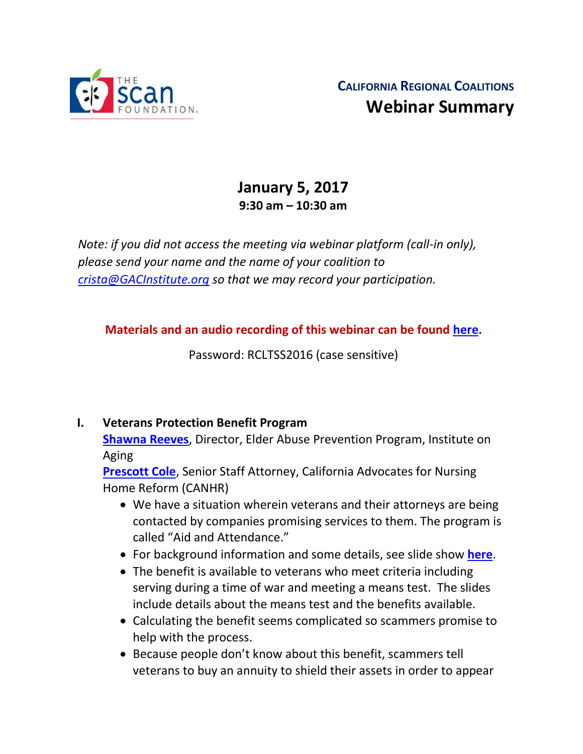

# **January 5, 2017 9:30 am – 10:30 am**

*Note: if you did not access the meeting via webinar platform (call-in only), please send your name and the name of your coalition to [crista@GACInstitute.org](mailto:crista@GACInstitute.org) so that we may record your participation.* 

**Materials and an audio recording of this webinar can be found [here.](http://www.ccltss.org/regional-coalition-meeting-materials/)**

Password: RCLTSS2016 (case sensitive)

#### **I. Veterans Protection Benefit Program**

**[Shawna Reeves](mailto:sreeves@ioaging.org)**, Director, Elder Abuse Prevention Program, Institute on Aging

**[Prescott Cole](mailto:prescott@canhr.org)**, Senior Staff Attorney, California Advocates for Nursing Home Reform (CANHR)

- We have a situation wherein veterans and their attorneys are being contacted by companies promising services to them. The program is called "Aid and Attendance."
- For background information and some details, see slide show **[here](http://www.ccltss.org/cc-content-wp/uploads/2016/10/Dec-15-CANHR-VPBB-Presentation-1.pdf)**.
- The benefit is available to veterans who meet criteria including serving during a time of war and meeting a means test. The slides include details about the means test and the benefits available.
- Calculating the benefit seems complicated so scammers promise to help with the process.
- Because people don't know about this benefit, scammers tell veterans to buy an annuity to shield their assets in order to appear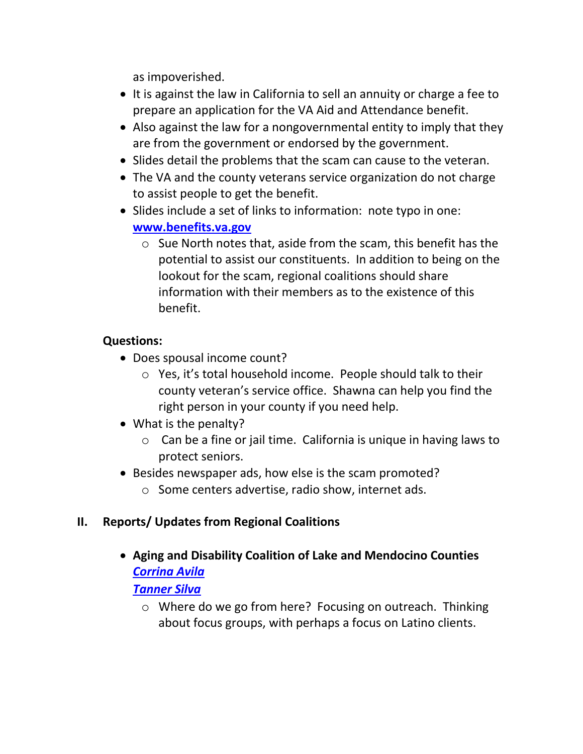as impoverished.

- It is against the law in California to sell an annuity or charge a fee to prepare an application for the VA Aid and Attendance benefit.
- Also against the law for a nongovernmental entity to imply that they are from the government or endorsed by the government.
- Slides detail the problems that the scam can cause to the veteran.
- The VA and the county veterans service organization do not charge to assist people to get the benefit.
- Slides include a set of links to information: note typo in one: **[www.benefits.va.gov](http://www.benefits.va.gov/)**
	- $\circ$  Sue North notes that, aside from the scam, this benefit has the potential to assist our constituents. In addition to being on the lookout for the scam, regional coalitions should share information with their members as to the existence of this benefit.

#### **Questions:**

- Does spousal income count?
	- o Yes, it's total household income. People should talk to their county veteran's service office. Shawna can help you find the right person in your county if you need help.
- What is the penalty?
	- $\circ$  Can be a fine or jail time. California is unique in having laws to protect seniors.
- Besides newspaper ads, how else is the scam promoted?
	- o Some centers advertise, radio show, internet ads.

## **II. Reports/ Updates from Regional Coalitions**

 **Aging and Disability Coalition of Lake and Mendocino Counties** *[Corrina Avila](mailto:corrina@mydslc.org)*

#### *[Tanner Silva](mailto:Tanner@mydslc.org)*

o Where do we go from here? Focusing on outreach. Thinking about focus groups, with perhaps a focus on Latino clients.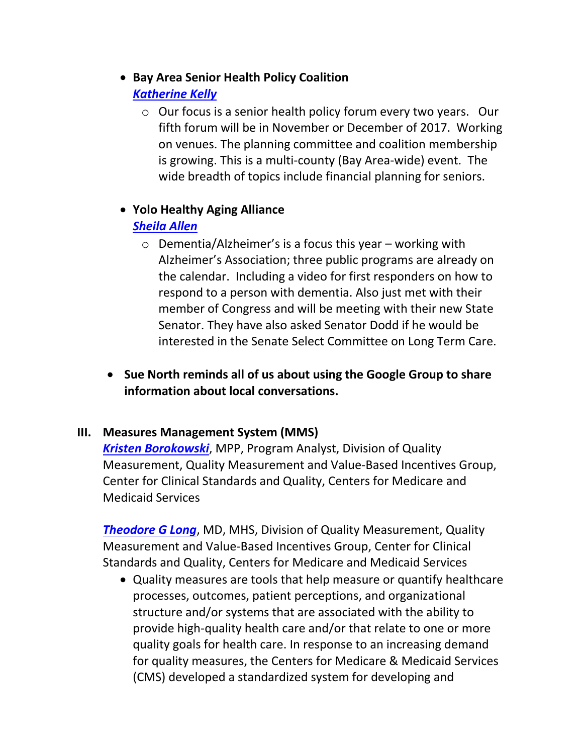# **Bay Area Senior Health Policy Coalition**

#### *[Katherine Kelly](mailto:kkelly@onlok.org)*

o Our focus is a senior health policy forum every two years. Our fifth forum will be in November or December of 2017. Working on venues. The planning committee and coalition membership is growing. This is a multi-county (Bay Area-wide) event. The wide breadth of topics include financial planning for seniors.

#### **Yolo Healthy Aging Alliance**

# *[Sheila Allen](mailto:Sheila.Allen@yolocounty.org)*

- o Dementia/Alzheimer's is a focus this year working with Alzheimer's Association; three public programs are already on the calendar. Including a video for first responders on how to respond to a person with dementia. Also just met with their member of Congress and will be meeting with their new State Senator. They have also asked Senator Dodd if he would be interested in the Senate Select Committee on Long Term Care.
- **Sue North reminds all of us about using the Google Group to share information about local conversations.**

## **III. Measures Management System (MMS)**

*[Kristen Borokowski](mailto:Kristin.Borowski@cms.hhs.gov)*, MPP, Program Analyst, Division of Quality Measurement, Quality Measurement and Value-Based Incentives Group, Center for Clinical Standards and Quality, Centers for Medicare and Medicaid Services

**[Theodore G Long](mailto:Theodore.Long@cms.hhs.gov), MD, MHS, Division of Quality Measurement, Quality** Measurement and Value-Based Incentives Group, Center for Clinical Standards and Quality, Centers for Medicare and Medicaid Services

 Quality measures are tools that help measure or quantify healthcare processes, outcomes, patient perceptions, and organizational structure and/or systems that are associated with the ability to provide high-quality health care and/or that relate to one or more quality goals for health care. In response to an increasing demand for quality measures, the Centers for Medicare & Medicaid Services (CMS) developed a standardized system for developing and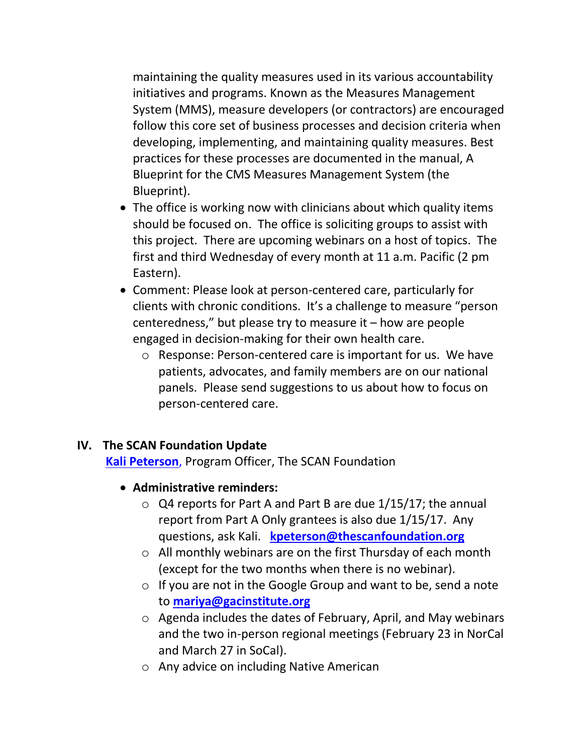maintaining the quality measures used in its various accountability initiatives and programs. Known as the Measures Management System (MMS), measure developers (or contractors) are encouraged follow this core set of business processes and decision criteria when developing, implementing, and maintaining quality measures. Best practices for these processes are documented in the manual, A Blueprint for the CMS Measures Management System (the Blueprint).

- The office is working now with clinicians about which quality items should be focused on. The office is soliciting groups to assist with this project. There are upcoming webinars on a host of topics. The first and third Wednesday of every month at 11 a.m. Pacific (2 pm Eastern).
- Comment: Please look at person-centered care, particularly for clients with chronic conditions. It's a challenge to measure "person centeredness," but please try to measure it – how are people engaged in decision-making for their own health care.
	- o Response: Person-centered care is important for us. We have patients, advocates, and family members are on our national panels. Please send suggestions to us about how to focus on person-centered care.

#### **IV. The SCAN Foundation Update**

**[Kali Peterson](mailto:Kpeterson@thescanfoundation.org)**, Program Officer, The SCAN Foundation

- **Administrative reminders:**
	- o Q4 reports for Part A and Part B are due 1/15/17; the annual report from Part A Only grantees is also due 1/15/17. Any questions, ask Kali. **[kpeterson@thescanfoundation.org](mailto:kpeterson@thescanfoundation.org)**
	- o All monthly webinars are on the first Thursday of each month (except for the two months when there is no webinar).
	- $\circ$  If you are not in the Google Group and want to be, send a note to **[mariya@gacinstitute.org](file:///C:/Users/mariy/AppData/Local/Temp/mariya@gacinstitute.org)**
	- o Agenda includes the dates of February, April, and May webinars and the two in-person regional meetings (February 23 in NorCal and March 27 in SoCal).
	- o Any advice on including Native American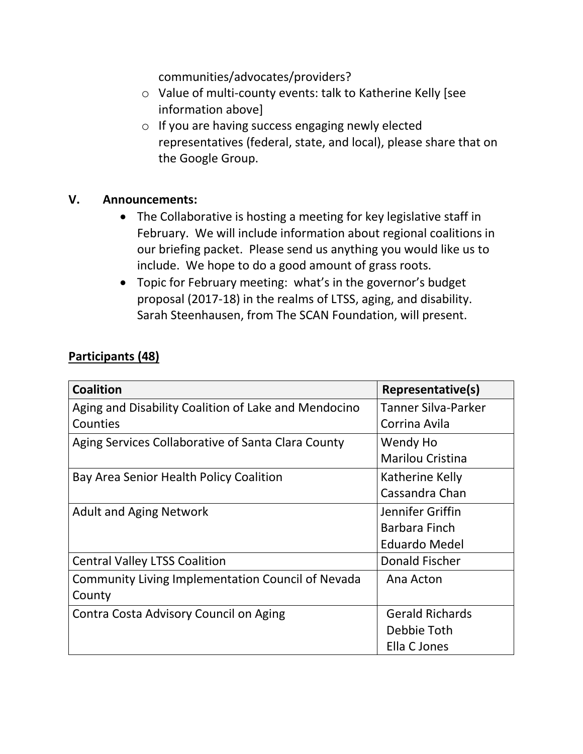communities/advocates/providers?

- o Value of multi-county events: talk to Katherine Kelly [see information above]
- o If you are having success engaging newly elected representatives (federal, state, and local), please share that on the Google Group.

#### **V. Announcements:**

- The Collaborative is hosting a meeting for key legislative staff in February. We will include information about regional coalitions in our briefing packet. Please send us anything you would like us to include. We hope to do a good amount of grass roots.
- Topic for February meeting: what's in the governor's budget proposal (2017-18) in the realms of LTSS, aging, and disability. Sarah Steenhausen, from The SCAN Foundation, will present.

| Participants (48) |
|-------------------|
|-------------------|

| <b>Coalition</b>                                     | Representative(s)       |
|------------------------------------------------------|-------------------------|
| Aging and Disability Coalition of Lake and Mendocino | Tanner Silva-Parker     |
| Counties                                             | Corrina Avila           |
| Aging Services Collaborative of Santa Clara County   | Wendy Ho                |
|                                                      | <b>Marilou Cristina</b> |
| Bay Area Senior Health Policy Coalition              | Katherine Kelly         |
|                                                      | Cassandra Chan          |
| <b>Adult and Aging Network</b>                       | Jennifer Griffin        |
|                                                      | <b>Barbara Finch</b>    |
|                                                      | <b>Eduardo Medel</b>    |
| <b>Central Valley LTSS Coalition</b>                 | Donald Fischer          |
| Community Living Implementation Council of Nevada    | Ana Acton               |
| County                                               |                         |
| Contra Costa Advisory Council on Aging               | <b>Gerald Richards</b>  |
|                                                      | Debbie Toth             |
|                                                      | Ella C Jones            |